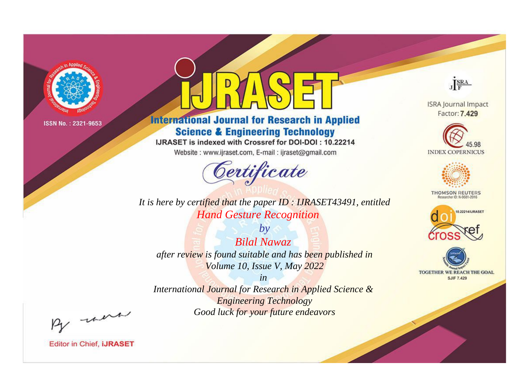

# **International Journal for Research in Applied Science & Engineering Technology**

IJRASET is indexed with Crossref for DOI-DOI: 10.22214

Website: www.ijraset.com, E-mail: ijraset@gmail.com



*It is here by certified that the paper ID : IJRASET43491, entitled Hand Gesture Recognition*

*by Bilal Nawaz after review is found suitable and has been published in Volume 10, Issue V, May 2022*

*International Journal for Research in Applied Science & Engineering Technology Good luck for your future endeavors*



**Editor in Chief, IJRASET** 

**ISRA Journal Impact** Factor: 7.429

JERA





**THOMSON REUTERS** 



TOGETHER WE REACH THE GOAL **SJIF 7.429** 

*in*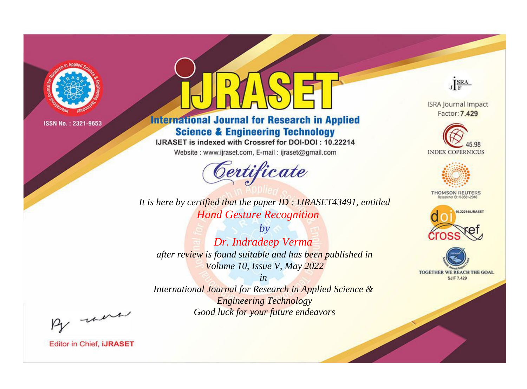

# **International Journal for Research in Applied Science & Engineering Technology**

IJRASET is indexed with Crossref for DOI-DOI: 10.22214

Website: www.ijraset.com, E-mail: ijraset@gmail.com



**ISRA Journal Impact** Factor: 7.429

JERA

**INDEX COPERNICUS** 



**THOMSON REUTERS** 



TOGETHER WE REACH THE GOAL **SJIF 7.429** 

*It is here by certified that the paper ID : IJRASET43491, entitled Hand Gesture Recognition*

*by Dr. Indradeep Verma after review is found suitable and has been published in Volume 10, Issue V, May 2022*

*in* 

*International Journal for Research in Applied Science & Engineering Technology Good luck for your future endeavors*

By morn

**Editor in Chief, IJRASET**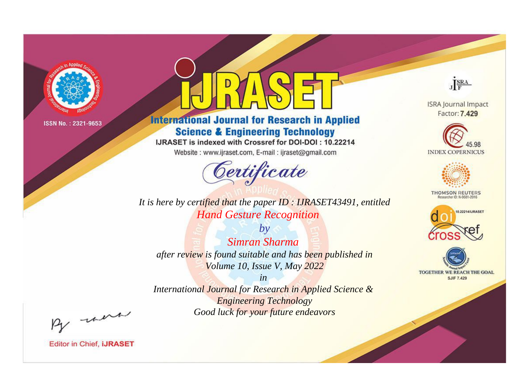

# **International Journal for Research in Applied Science & Engineering Technology**

IJRASET is indexed with Crossref for DOI-DOI: 10.22214

Website: www.ijraset.com, E-mail: ijraset@gmail.com



It is here by certified that the paper ID: IJRASET43491, entitled **Hand Gesture Recognition** 

 $by$ Simran Sharma after review is found suitable and has been published in Volume 10, Issue V, May 2022

 $in$ International Journal for Research in Applied Science & **Engineering Technology** Good luck for your future endeavors



**ISRA Journal Impact** Factor: 7.429





**THOMSON REUTERS** 



TOGETHER WE REACH THE GOAL **SJIF 7.429** 

By morn

**Editor in Chief, IJRASET**